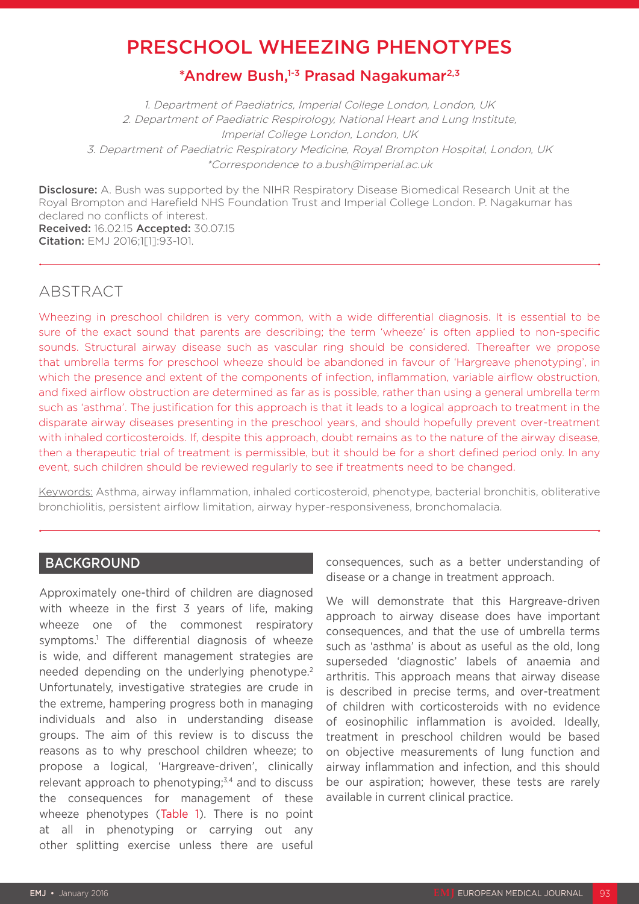# PRESCHOOL WHEEZING PHENOTYPES

# \*Andrew Bush,<sup>1-3</sup> Prasad Nagakumar<sup>2,3</sup>

1. Department of Paediatrics, Imperial College London, London, UK 2. Department of Paediatric Respirology, National Heart and Lung Institute, Imperial College London, London, UK 3. Department of Paediatric Respiratory Medicine, Royal Brompton Hospital, London, UK \*Correspondence to a.bush@imperial.ac.uk

**Disclosure:** A. Bush was supported by the NIHR Respiratory Disease Biomedical Research Unit at the Royal Brompton and Harefield NHS Foundation Trust and Imperial College London. P. Nagakumar has declared no conflicts of interest. Received: 16.02.15 Accepted: 30.07.15 Citation: EMJ 2016;1[1]:93-101.

# ABSTRACT

Wheezing in preschool children is very common, with a wide differential diagnosis. It is essential to be sure of the exact sound that parents are describing; the term 'wheeze' is often applied to non-specific sounds. Structural airway disease such as vascular ring should be considered. Thereafter we propose that umbrella terms for preschool wheeze should be abandoned in favour of 'Hargreave phenotyping', in which the presence and extent of the components of infection, inflammation, variable airflow obstruction, and fixed airflow obstruction are determined as far as is possible, rather than using a general umbrella term such as 'asthma'. The justification for this approach is that it leads to a logical approach to treatment in the disparate airway diseases presenting in the preschool years, and should hopefully prevent over-treatment with inhaled corticosteroids. If, despite this approach, doubt remains as to the nature of the airway disease, then a therapeutic trial of treatment is permissible, but it should be for a short defined period only. In any event, such children should be reviewed regularly to see if treatments need to be changed.

Keywords: Asthma, airway inflammation, inhaled corticosteroid, phenotype, bacterial bronchitis, obliterative bronchiolitis, persistent airflow limitation, airway hyper-responsiveness, bronchomalacia.

# **BACKGROUND**

Approximately one-third of children are diagnosed with wheeze in the first 3 years of life, making wheeze one of the commonest respiratory symptoms.<sup>1</sup> The differential diagnosis of wheeze is wide, and different management strategies are needed depending on the underlying phenotype.2 Unfortunately, investigative strategies are crude in the extreme, hampering progress both in managing individuals and also in understanding disease groups. The aim of this review is to discuss the reasons as to why preschool children wheeze; to propose a logical, 'Hargreave-driven', clinically relevant approach to phenotyping; $3,4$  and to discuss the consequences for management of these wheeze phenotypes (Table 1). There is no point at all in phenotyping or carrying out any other splitting exercise unless there are useful

consequences, such as a better understanding of disease or a change in treatment approach.

We will demonstrate that this Hargreave-driven approach to airway disease does have important consequences, and that the use of umbrella terms such as 'asthma' is about as useful as the old, long superseded 'diagnostic' labels of anaemia and arthritis. This approach means that airway disease is described in precise terms, and over-treatment of children with corticosteroids with no evidence of eosinophilic inflammation is avoided. Ideally, treatment in preschool children would be based on objective measurements of lung function and airway inflammation and infection, and this should be our aspiration; however, these tests are rarely available in current clinical practice.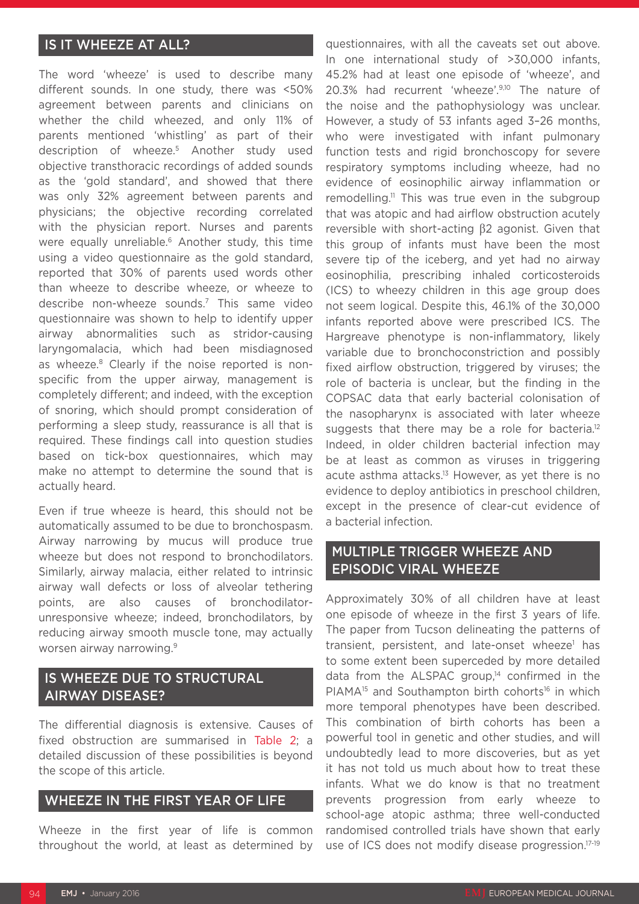# IS IT WHEEZE AT ALL?

The word 'wheeze' is used to describe many different sounds. In one study, there was <50% agreement between parents and clinicians on whether the child wheezed, and only 11% of parents mentioned 'whistling' as part of their description of wheeze.5 Another study used objective transthoracic recordings of added sounds as the 'gold standard', and showed that there was only 32% agreement between parents and physicians; the objective recording correlated with the physician report. Nurses and parents were equally unreliable.<sup>6</sup> Another study, this time using a video questionnaire as the gold standard, reported that 30% of parents used words other than wheeze to describe wheeze, or wheeze to describe non-wheeze sounds.7 This same video questionnaire was shown to help to identify upper airway abnormalities such as stridor-causing laryngomalacia, which had been misdiagnosed as wheeze.<sup>8</sup> Clearly if the noise reported is nonspecific from the upper airway, management is completely different; and indeed, with the exception of snoring, which should prompt consideration of performing a sleep study, reassurance is all that is required. These findings call into question studies based on tick-box questionnaires, which may make no attempt to determine the sound that is actually heard.

Even if true wheeze is heard, this should not be automatically assumed to be due to bronchospasm. Airway narrowing by mucus will produce true wheeze but does not respond to bronchodilators. Similarly, airway malacia, either related to intrinsic airway wall defects or loss of alveolar tethering points, are also causes of bronchodilatorunresponsive wheeze; indeed, bronchodilators, by reducing airway smooth muscle tone, may actually worsen airway narrowing.9

# IS WHEEZE DUE TO STRUCTURAL AIRWAY DISEASE?

The differential diagnosis is extensive. Causes of fixed obstruction are summarised in Table 2; a detailed discussion of these possibilities is beyond the scope of this article.

### WHEEZE IN THE FIRST YEAR OF LIFE

Wheeze in the first year of life is common throughout the world, at least as determined by questionnaires, with all the caveats set out above. In one international study of >30,000 infants, 45.2% had at least one episode of 'wheeze', and 20.3% had recurrent 'wheeze'.9,10 The nature of the noise and the pathophysiology was unclear. However, a study of 53 infants aged 3–26 months, who were investigated with infant pulmonary function tests and rigid bronchoscopy for severe respiratory symptoms including wheeze, had no evidence of eosinophilic airway inflammation or remodelling.<sup>11</sup> This was true even in the subgroup that was atopic and had airflow obstruction acutely reversible with short-acting β2 agonist. Given that this group of infants must have been the most severe tip of the iceberg, and yet had no airway eosinophilia, prescribing inhaled corticosteroids (ICS) to wheezy children in this age group does not seem logical. Despite this, 46.1% of the 30,000 infants reported above were prescribed ICS. The Hargreave phenotype is non-inflammatory, likely variable due to bronchoconstriction and possibly fixed airflow obstruction, triggered by viruses; the role of bacteria is unclear, but the finding in the COPSAC data that early bacterial colonisation of the nasopharynx is associated with later wheeze suggests that there may be a role for bacteria.<sup>12</sup> Indeed, in older children bacterial infection may be at least as common as viruses in triggering acute asthma attacks.<sup>13</sup> However, as yet there is no evidence to deploy antibiotics in preschool children, except in the presence of clear-cut evidence of a bacterial infection.

# MULTIPLE TRIGGER WHEEZE AND EPISODIC VIRAL WHEEZE

Approximately 30% of all children have at least one episode of wheeze in the first 3 years of life. The paper from Tucson delineating the patterns of transient, persistent, and late-onset wheeze<sup>1</sup> has to some extent been superceded by more detailed data from the ALSPAC group,<sup>14</sup> confirmed in the  $PIAMA^{15}$  and Southampton birth cohorts<sup>16</sup> in which more temporal phenotypes have been described. This combination of birth cohorts has been a powerful tool in genetic and other studies, and will undoubtedly lead to more discoveries, but as yet it has not told us much about how to treat these infants. What we do know is that no treatment prevents progression from early wheeze to school-age atopic asthma; three well-conducted randomised controlled trials have shown that early use of ICS does not modify disease progression.17-19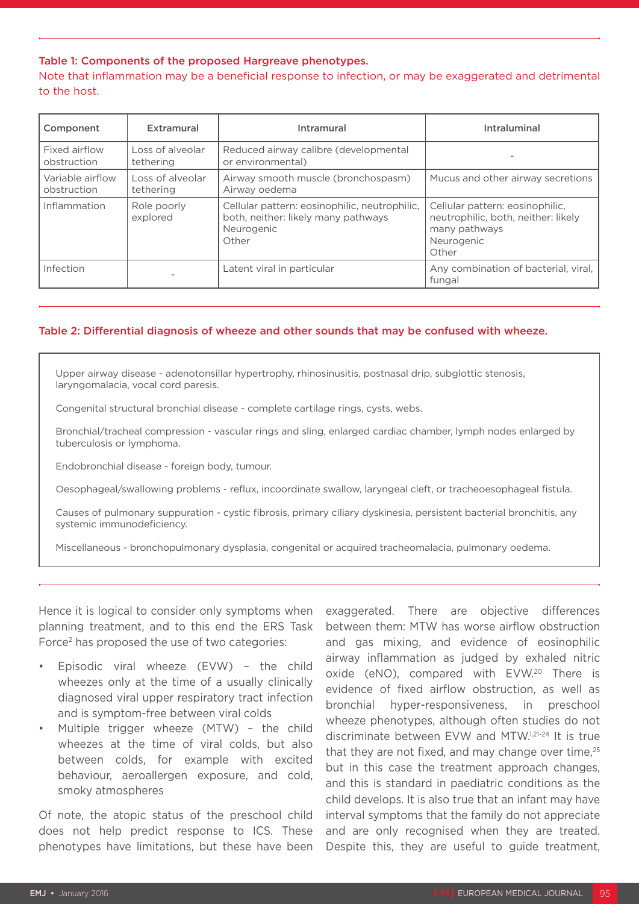#### Table 1: Components of the proposed Hargreave phenotypes.

Note that inflammation may be a beneficial response to infection, or may be exaggerated and detrimental to the host.

| Component                       | Extramural                    | Intramural                                                                                                  | Intraluminal                                                                                                   |  |
|---------------------------------|-------------------------------|-------------------------------------------------------------------------------------------------------------|----------------------------------------------------------------------------------------------------------------|--|
| Fixed airflow<br>obstruction    | Loss of alveolar<br>tethering | Reduced airway calibre (developmental<br>or environmental)                                                  |                                                                                                                |  |
| Variable airflow<br>obstruction | Loss of alveolar<br>tethering | Airway smooth muscle (bronchospasm)<br>Airway oedema                                                        | Mucus and other airway secretions                                                                              |  |
| Inflammation                    | Role poorly<br>explored       | Cellular pattern: eosinophilic, neutrophilic,<br>both, neither: likely many pathways<br>Neurogenic<br>Other | Cellular pattern: eosinophilic,<br>neutrophilic, both, neither: likely<br>many pathways<br>Neurogenic<br>Other |  |
| Infection                       |                               | Latent viral in particular                                                                                  | Any combination of bacterial, viral,<br>fungal                                                                 |  |

#### Table 2: Differential diagnosis of wheeze and other sounds that may be confused with wheeze.

Upper airway disease - adenotonsillar hypertrophy, rhinosinusitis, postnasal drip, subglottic stenosis, laryngomalacia, vocal cord paresis.

Congenital structural bronchial disease - complete cartilage rings, cysts, webs.

Bronchial/tracheal compression - vascular rings and sling, enlarged cardiac chamber, lymph nodes enlarged by tuberculosis or lymphoma.

Endobronchial disease - foreign body, tumour.

Oesophageal/swallowing problems - reflux, incoordinate swallow, laryngeal cleft, or tracheoesophageal fistula.

Causes of pulmonary suppuration - cystic fibrosis, primary ciliary dyskinesia, persistent bacterial bronchitis, any systemic immunodeficiency.

Miscellaneous - bronchopulmonary dysplasia, congenital or acquired tracheomalacia, pulmonary oedema.

Hence it is logical to consider only symptoms when planning treatment, and to this end the ERS Task Force2 has proposed the use of two categories:

- Episodic viral wheeze (EVW) the child wheezes only at the time of a usually clinically diagnosed viral upper respiratory tract infection and is symptom-free between viral colds
- Multiple trigger wheeze (MTW) the child wheezes at the time of viral colds, but also between colds, for example with excited behaviour, aeroallergen exposure, and cold, smoky atmospheres

Of note, the atopic status of the preschool child does not help predict response to ICS. These phenotypes have limitations, but these have been

exaggerated. There are objective differences between them: MTW has worse airflow obstruction and gas mixing, and evidence of eosinophilic airway inflammation as judged by exhaled nitric oxide (eNO), compared with EVW.<sup>20</sup> There is evidence of fixed airflow obstruction, as well as bronchial hyper-responsiveness, in preschool wheeze phenotypes, although often studies do not discriminate between EVW and MTW.1,21-24 It is true that they are not fixed, and may change over time, $25$ but in this case the treatment approach changes, and this is standard in paediatric conditions as the child develops. It is also true that an infant may have interval symptoms that the family do not appreciate and are only recognised when they are treated. Despite this, they are useful to guide treatment,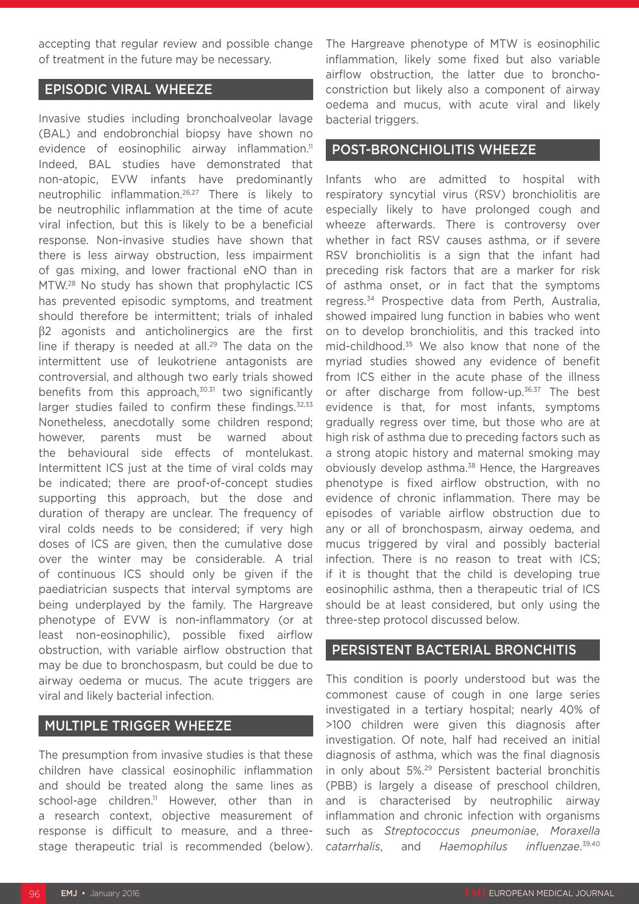accepting that regular review and possible change of treatment in the future may be necessary.

## EPISODIC VIRAL WHEEZE

Invasive studies including bronchoalveolar lavage (BAL) and endobronchial biopsy have shown no evidence of eosinophilic airway inflammation.<sup>11</sup> Indeed, BAL studies have demonstrated that non-atopic, EVW infants have predominantly neutrophilic inflammation.26,27 There is likely to be neutrophilic inflammation at the time of acute viral infection, but this is likely to be a beneficial response. Non-invasive studies have shown that there is less airway obstruction, less impairment of gas mixing, and lower fractional eNO than in MTW.28 No study has shown that prophylactic ICS has prevented episodic symptoms, and treatment should therefore be intermittent; trials of inhaled β2 agonists and anticholinergics are the first line if therapy is needed at all.<sup>29</sup> The data on the intermittent use of leukotriene antagonists are controversial, and although two early trials showed benefits from this approach, $30,31$  two significantly larger studies failed to confirm these findings.<sup>32,33</sup> Nonetheless, anecdotally some children respond; however, parents must be warned about the behavioural side effects of montelukast. Intermittent ICS just at the time of viral colds may be indicated; there are proof-of-concept studies supporting this approach, but the dose and duration of therapy are unclear. The frequency of viral colds needs to be considered; if very high doses of ICS are given, then the cumulative dose over the winter may be considerable. A trial of continuous ICS should only be given if the paediatrician suspects that interval symptoms are being underplayed by the family. The Hargreave phenotype of EVW is non-inflammatory (or at least non-eosinophilic), possible fixed airflow obstruction, with variable airflow obstruction that may be due to bronchospasm, but could be due to airway oedema or mucus. The acute triggers are viral and likely bacterial infection.

## MULTIPLE TRIGGER WHEEZE

The presumption from invasive studies is that these children have classical eosinophilic inflammation and should be treated along the same lines as school-age children.<sup>11</sup> However, other than in a research context, objective measurement of response is difficult to measure, and a threestage therapeutic trial is recommended (below).

The Hargreave phenotype of MTW is eosinophilic inflammation, likely some fixed but also variable airflow obstruction, the latter due to bronchoconstriction but likely also a component of airway oedema and mucus, with acute viral and likely bacterial triggers.

### POST-BRONCHIOLITIS WHEEZE

Infants who are admitted to hospital with respiratory syncytial virus (RSV) bronchiolitis are especially likely to have prolonged cough and wheeze afterwards. There is controversy over whether in fact RSV causes asthma, or if severe RSV bronchiolitis is a sign that the infant had preceding risk factors that are a marker for risk of asthma onset, or in fact that the symptoms regress.34 Prospective data from Perth, Australia, showed impaired lung function in babies who went on to develop bronchiolitis, and this tracked into mid-childhood.35 We also know that none of the myriad studies showed any evidence of benefit from ICS either in the acute phase of the illness or after discharge from follow-up.<sup>36,37</sup> The best evidence is that, for most infants, symptoms gradually regress over time, but those who are at high risk of asthma due to preceding factors such as a strong atopic history and maternal smoking may obviously develop asthma.<sup>38</sup> Hence, the Hargreaves phenotype is fixed airflow obstruction, with no evidence of chronic inflammation. There may be episodes of variable airflow obstruction due to any or all of bronchospasm, airway oedema, and mucus triggered by viral and possibly bacterial infection. There is no reason to treat with ICS; if it is thought that the child is developing true eosinophilic asthma, then a therapeutic trial of ICS should be at least considered, but only using the three-step protocol discussed below.

#### PERSISTENT BACTERIAL BRONCHITIS

This condition is poorly understood but was the commonest cause of cough in one large series investigated in a tertiary hospital; nearly 40% of >100 children were given this diagnosis after investigation. Of note, half had received an initial diagnosis of asthma, which was the final diagnosis in only about 5%.29 Persistent bacterial bronchitis (PBB) is largely a disease of preschool children, and is characterised by neutrophilic airway inflammation and chronic infection with organisms such as *Streptococcus pneumoniae*, *Moraxella catarrhalis*, and *Haemophilus* influenzae.<sup>39,40</sup>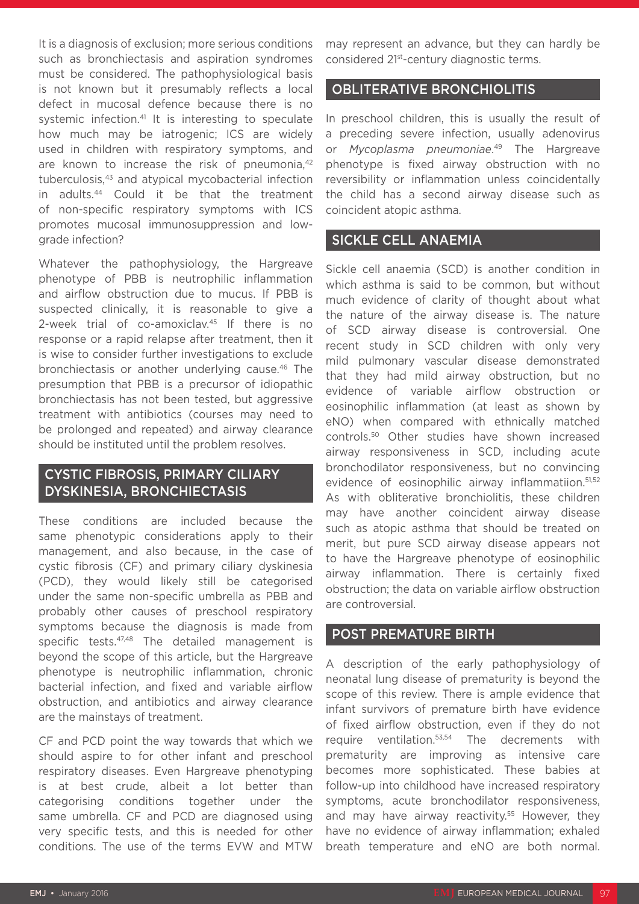It is a diagnosis of exclusion; more serious conditions such as bronchiectasis and aspiration syndromes must be considered. The pathophysiological basis is not known but it presumably reflects a local defect in mucosal defence because there is no systemic infection.<sup>41</sup> It is interesting to speculate how much may be iatrogenic; ICS are widely used in children with respiratory symptoms, and are known to increase the risk of pneumonia.<sup>42</sup> tuberculosis,43 and atypical mycobacterial infection in adults.44 Could it be that the treatment of non-specific respiratory symptoms with ICS promotes mucosal immunosuppression and lowgrade infection?

Whatever the pathophysiology, the Hargreave phenotype of PBB is neutrophilic inflammation and airflow obstruction due to mucus. If PBB is suspected clinically, it is reasonable to give a 2-week trial of co-amoxiclay.<sup>45</sup> If there is no response or a rapid relapse after treatment, then it is wise to consider further investigations to exclude bronchiectasis or another underlying cause.46 The presumption that PBB is a precursor of idiopathic bronchiectasis has not been tested, but aggressive treatment with antibiotics (courses may need to be prolonged and repeated) and airway clearance should be instituted until the problem resolves.

# CYSTIC FIBROSIS, PRIMARY CILIARY DYSKINESIA, BRONCHIECTASIS

These conditions are included because the same phenotypic considerations apply to their management, and also because, in the case of cystic fibrosis (CF) and primary ciliary dyskinesia (PCD), they would likely still be categorised under the same non-specific umbrella as PBB and probably other causes of preschool respiratory symptoms because the diagnosis is made from specific tests.<sup>47,48</sup> The detailed management is beyond the scope of this article, but the Hargreave phenotype is neutrophilic inflammation, chronic bacterial infection, and fixed and variable airflow obstruction, and antibiotics and airway clearance are the mainstays of treatment.

CF and PCD point the way towards that which we should aspire to for other infant and preschool respiratory diseases. Even Hargreave phenotyping is at best crude, albeit a lot better than categorising conditions together under the same umbrella. CF and PCD are diagnosed using very specific tests, and this is needed for other conditions. The use of the terms EVW and MTW

may represent an advance, but they can hardly be considered 21st-century diagnostic terms.

### OBLITERATIVE BRONCHIOLITIS

In preschool children, this is usually the result of a preceding severe infection, usually adenovirus or *Mycoplasma pneumoniae*. 49 The Hargreave phenotype is fixed airway obstruction with no reversibility or inflammation unless coincidentally the child has a second airway disease such as coincident atopic asthma.

## SICKLE CELL ANAEMIA

Sickle cell anaemia (SCD) is another condition in which asthma is said to be common, but without much evidence of clarity of thought about what the nature of the airway disease is. The nature of SCD airway disease is controversial. One recent study in SCD children with only very mild pulmonary vascular disease demonstrated that they had mild airway obstruction, but no evidence of variable airflow obstruction or eosinophilic inflammation (at least as shown by eNO) when compared with ethnically matched controls.50 Other studies have shown increased airway responsiveness in SCD, including acute bronchodilator responsiveness, but no convincing evidence of eosinophilic airway inflammatiion.<sup>51,52</sup> As with obliterative bronchiolitis, these children may have another coincident airway disease such as atopic asthma that should be treated on merit, but pure SCD airway disease appears not to have the Hargreave phenotype of eosinophilic airway inflammation. There is certainly fixed obstruction; the data on variable airflow obstruction are controversial.

### POST PREMATURE BIRTH

A description of the early pathophysiology of neonatal lung disease of prematurity is beyond the scope of this review. There is ample evidence that infant survivors of premature birth have evidence of fixed airflow obstruction, even if they do not require ventilation.53,54 The decrements with prematurity are improving as intensive care becomes more sophisticated. These babies at follow-up into childhood have increased respiratory symptoms, acute bronchodilator responsiveness, and may have airway reactivity.<sup>55</sup> However, they have no evidence of airway inflammation; exhaled breath temperature and eNO are both normal.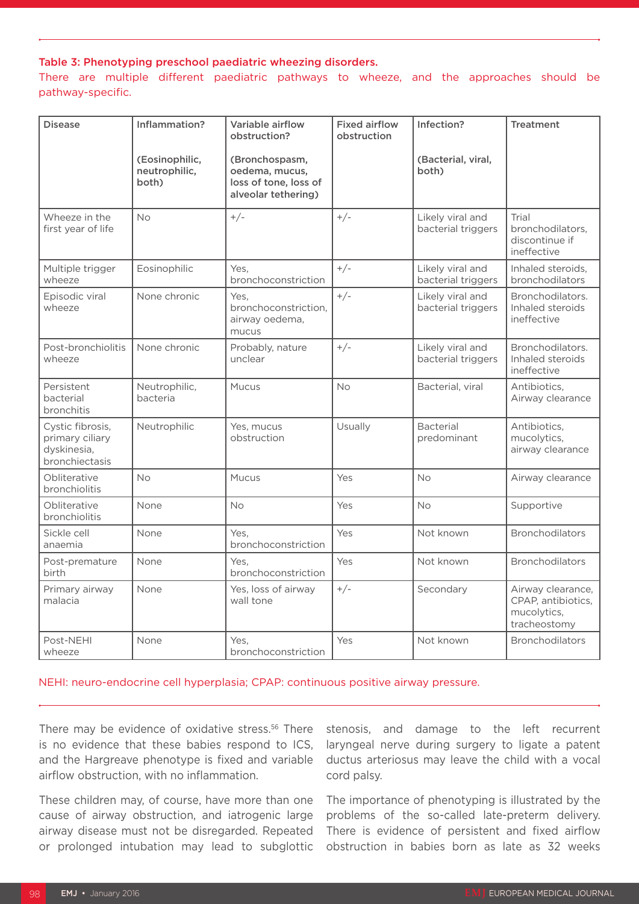#### Table 3: Phenotyping preschool paediatric wheezing disorders.

There are multiple different paediatric pathways to wheeze, and the approaches should be pathway-specific.

| <b>Disease</b>                                                       | Inflammation?                            | Variable airflow<br>obstruction?                                                 | <b>Fixed airflow</b><br>obstruction | Infection?                             | <b>Treatment</b>                                                       |
|----------------------------------------------------------------------|------------------------------------------|----------------------------------------------------------------------------------|-------------------------------------|----------------------------------------|------------------------------------------------------------------------|
|                                                                      | (Eosinophilic,<br>neutrophilic,<br>both) | (Bronchospasm,<br>oedema, mucus,<br>loss of tone, loss of<br>alveolar tethering) |                                     | (Bacterial, viral,<br>both)            |                                                                        |
| Wheeze in the<br>first year of life                                  | <b>No</b>                                | $+/-$                                                                            | $+/-$                               | Likely viral and<br>bacterial triggers | Trial<br>bronchodilators.<br>discontinue if<br>ineffective             |
| Multiple trigger<br>wheeze                                           | Eosinophilic                             | Yes.<br>bronchoconstriction                                                      | $+/-$                               | Likely viral and<br>bacterial triggers | Inhaled steroids.<br>bronchodilators                                   |
| Episodic viral<br>wheeze                                             | None chronic                             | Yes.<br>bronchoconstriction.<br>airway oedema,<br>mucus                          | $+/-$                               | Likely viral and<br>bacterial triggers | Bronchodilators.<br>Inhaled steroids<br>ineffective                    |
| Post-bronchiolitis<br>wheeze                                         | None chronic                             | Probably, nature<br>unclear                                                      | $+/-$                               | Likely viral and<br>bacterial triggers | Bronchodilators.<br>Inhaled steroids<br>ineffective                    |
| Persistent<br>bacterial<br>bronchitis                                | Neutrophilic,<br>bacteria                | Mucus                                                                            | <b>No</b>                           | Bacterial, viral                       | Antibiotics,<br>Airway clearance                                       |
| Cystic fibrosis,<br>primary ciliary<br>dyskinesia,<br>bronchiectasis | Neutrophilic                             | Yes, mucus<br>obstruction                                                        | Usually                             | <b>Bacterial</b><br>predominant        | Antibiotics,<br>mucolytics,<br>airway clearance                        |
| Obliterative<br>bronchiolitis                                        | <b>No</b>                                | <b>Mucus</b>                                                                     | Yes                                 | <b>No</b>                              | Airway clearance                                                       |
| Obliterative<br>bronchiolitis                                        | None                                     | No                                                                               | Yes                                 | No                                     | Supportive                                                             |
| Sickle cell<br>anaemia                                               | None                                     | Yes.<br>bronchoconstriction                                                      | Yes                                 | Not known                              | <b>Bronchodilators</b>                                                 |
| Post-premature<br>birth                                              | None                                     | Yes,<br>bronchoconstriction                                                      | Yes                                 | Not known                              | <b>Bronchodilators</b>                                                 |
| Primary airway<br>malacia                                            | None                                     | Yes, loss of airway<br>wall tone                                                 | $+/-$                               | Secondary                              | Airway clearance,<br>CPAP, antibiotics,<br>mucolytics,<br>tracheostomy |
| Post-NEHI<br>wheeze                                                  | None                                     | Yes.<br>bronchoconstriction                                                      | Yes                                 | Not known                              | <b>Bronchodilators</b>                                                 |

NEHI: neuro-endocrine cell hyperplasia; CPAP: continuous positive airway pressure.

There may be evidence of oxidative stress.<sup>56</sup> There is no evidence that these babies respond to ICS, and the Hargreave phenotype is fixed and variable airflow obstruction, with no inflammation.

These children may, of course, have more than one cause of airway obstruction, and iatrogenic large airway disease must not be disregarded. Repeated or prolonged intubation may lead to subglottic stenosis, and damage to the left recurrent laryngeal nerve during surgery to ligate a patent ductus arteriosus may leave the child with a vocal cord palsy.

The importance of phenotyping is illustrated by the problems of the so-called late-preterm delivery. There is evidence of persistent and fixed airflow obstruction in babies born as late as 32 weeks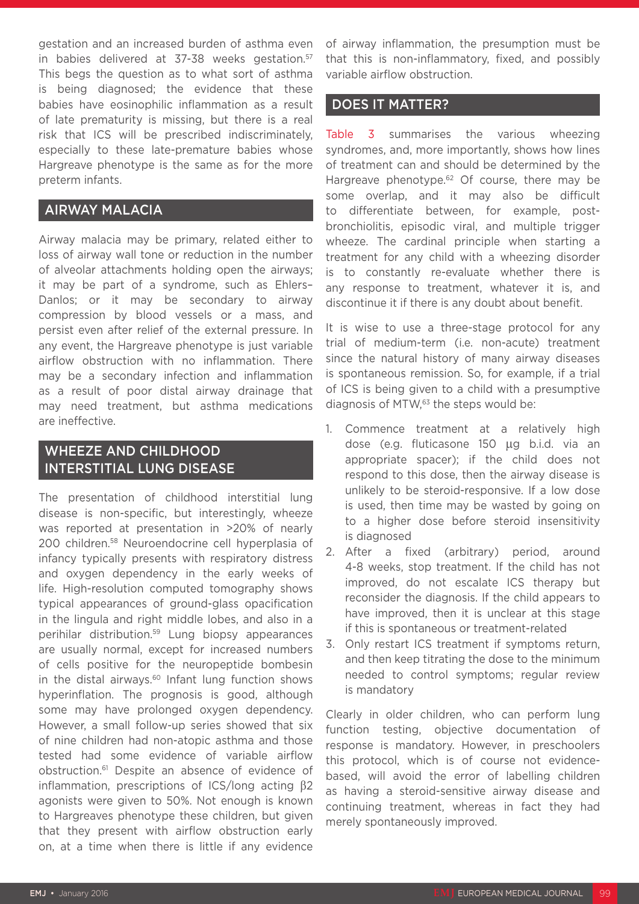gestation and an increased burden of asthma even in babies delivered at 37-38 weeks gestation.<sup>57</sup> This begs the question as to what sort of asthma is being diagnosed; the evidence that these babies have eosinophilic inflammation as a result of late prematurity is missing, but there is a real risk that ICS will be prescribed indiscriminately, especially to these late-premature babies whose Hargreave phenotype is the same as for the more preterm infants.

# AIRWAY MALACIA

Airway malacia may be primary, related either to loss of airway wall tone or reduction in the number of alveolar attachments holding open the airways; it may be part of a syndrome, such as Ehlers– Danlos; or it may be secondary to airway compression by blood vessels or a mass, and persist even after relief of the external pressure. In any event, the Hargreave phenotype is just variable airflow obstruction with no inflammation. There may be a secondary infection and inflammation as a result of poor distal airway drainage that may need treatment, but asthma medications are ineffective.

# WHEEZE AND CHILDHOOD INTERSTITIAL LUNG DISEASE

The presentation of childhood interstitial lung disease is non-specific, but interestingly, wheeze was reported at presentation in >20% of nearly 200 children.58 Neuroendocrine cell hyperplasia of infancy typically presents with respiratory distress and oxygen dependency in the early weeks of life. High-resolution computed tomography shows typical appearances of ground-glass opacification in the lingula and right middle lobes, and also in a perihilar distribution.59 Lung biopsy appearances are usually normal, except for increased numbers of cells positive for the neuropeptide bombesin in the distal airways. $60$  Infant lung function shows hyperinflation. The prognosis is good, although some may have prolonged oxygen dependency. However, a small follow-up series showed that six of nine children had non-atopic asthma and those tested had some evidence of variable airflow obstruction.61 Despite an absence of evidence of inflammation, prescriptions of ICS/long acting β2 agonists were given to 50%. Not enough is known to Hargreaves phenotype these children, but given that they present with airflow obstruction early on, at a time when there is little if any evidence

of airway inflammation, the presumption must be that this is non-inflammatory, fixed, and possibly variable airflow obstruction.

# DOES IT MATTER?

Table 3 summarises the various wheezing syndromes, and, more importantly, shows how lines of treatment can and should be determined by the Hargreave phenotype.<sup>62</sup> Of course, there may be some overlap, and it may also be difficult to differentiate between, for example, postbronchiolitis, episodic viral, and multiple trigger wheeze. The cardinal principle when starting a treatment for any child with a wheezing disorder is to constantly re-evaluate whether there is any response to treatment, whatever it is, and discontinue it if there is any doubt about benefit.

It is wise to use a three-stage protocol for any trial of medium-term (i.e. non-acute) treatment since the natural history of many airway diseases is spontaneous remission. So, for example, if a trial of ICS is being given to a child with a presumptive diagnosis of MTW,<sup>63</sup> the steps would be:

- 1. Commence treatment at a relatively high dose (e.g. fluticasone 150 µg b.i.d. via an appropriate spacer); if the child does not respond to this dose, then the airway disease is unlikely to be steroid-responsive. If a low dose is used, then time may be wasted by going on to a higher dose before steroid insensitivity is diagnosed
- 2. After a fixed (arbitrary) period, around 4-8 weeks, stop treatment. If the child has not improved, do not escalate ICS therapy but reconsider the diagnosis. If the child appears to have improved, then it is unclear at this stage if this is spontaneous or treatment-related
- 3. Only restart ICS treatment if symptoms return, and then keep titrating the dose to the minimum needed to control symptoms; regular review is mandatory

Clearly in older children, who can perform lung function testing, objective documentation of response is mandatory. However, in preschoolers this protocol, which is of course not evidencebased, will avoid the error of labelling children as having a steroid-sensitive airway disease and continuing treatment, whereas in fact they had merely spontaneously improved.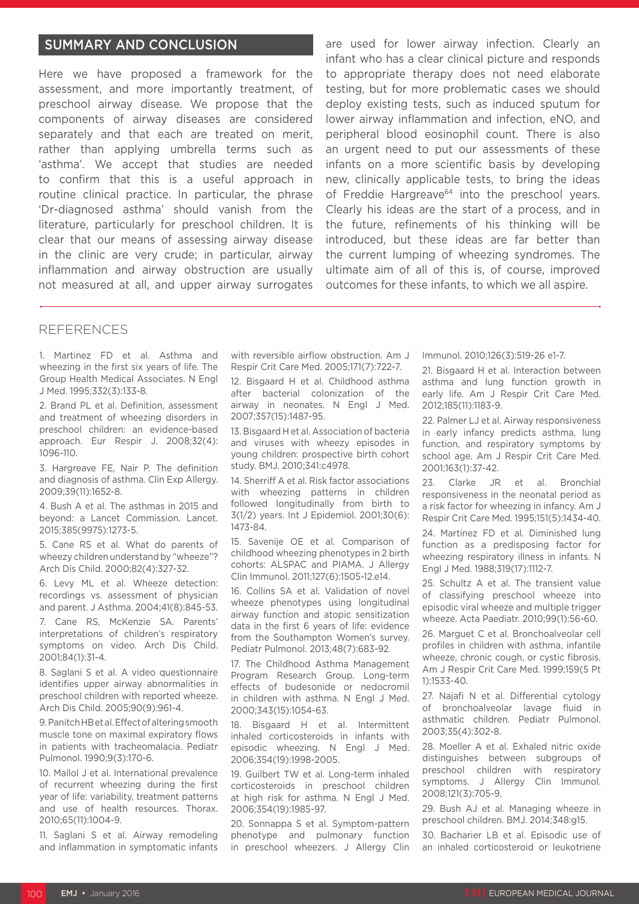# SUMMARY AND CONCLUSION

Here we have proposed a framework for the assessment, and more importantly treatment, of preschool airway disease. We propose that the components of airway diseases are considered separately and that each are treated on merit, rather than applying umbrella terms such as 'asthma'. We accept that studies are needed to confirm that this is a useful approach in routine clinical practice. In particular, the phrase 'Dr-diagnosed asthma' should vanish from the literature, particularly for preschool children. It is clear that our means of assessing airway disease in the clinic are very crude; in particular, airway inflammation and airway obstruction are usually not measured at all, and upper airway surrogates

are used for lower airway infection. Clearly an infant who has a clear clinical picture and responds to appropriate therapy does not need elaborate testing, but for more problematic cases we should deploy existing tests, such as induced sputum for lower airway inflammation and infection, eNO, and peripheral blood eosinophil count. There is also an urgent need to put our assessments of these infants on a more scientific basis by developing new, clinically applicable tests, to bring the ideas of Freddie Hargreave<sup>64</sup> into the preschool vears. Clearly his ideas are the start of a process, and in the future, refinements of his thinking will be introduced, but these ideas are far better than the current lumping of wheezing syndromes. The ultimate aim of all of this is, of course, improved outcomes for these infants, to which we all aspire.

#### **REFERENCES**

1. Martinez FD et al. Asthma and wheezing in the first six years of life. The Group Health Medical Associates. N Engl J Med. 1995;332(3):133-8.

2. Brand PL et al. Definition, assessment and treatment of wheezing disorders in preschool children: an evidence-based approach. Eur Respir J. 2008;32(4): 1096-110.

3. Hargreave FE, Nair P. The definition and diagnosis of asthma. Clin Exp Allergy. 2009;39(11):1652-8.

4. Bush A et al. The asthmas in 2015 and beyond: a Lancet Commission. Lancet. 2015;385(9975):1273-5.

5. Cane RS et al. What do parents of wheezy children understand by "wheeze"? Arch Dis Child. 2000;82(4):327-32.

6. Levy ML et al. Wheeze detection: recordings vs. assessment of physician and parent. J Asthma. 2004;41(8):845-53.

7. Cane RS, McKenzie SA. Parents' interpretations of children's respiratory symptoms on video. Arch Dis Child. 2001;84(1):31-4.

8. Saglani S et al. A video questionnaire identifies upper airway abnormalities in preschool children with reported wheeze. Arch Dis Child. 2005;90(9):961-4.

9. Panitch HB et al. Effect of altering smooth muscle tone on maximal expiratory flows in patients with tracheomalacia. Pediatr Pulmonol. 1990;9(3):170-6.

10. Mallol J et al. International prevalence of recurrent wheezing during the first year of life: variability, treatment patterns and use of health resources. Thorax. 2010;65(11):1004-9.

11. Saglani S et al. Airway remodeling and inflammation in symptomatic infants with reversible airflow obstruction. Am J Respir Crit Care Med. 2005;171(7):722-7.

12. Bisgaard H et al. Childhood asthma after bacterial colonization of the airway in neonates. N Engl J Med. 2007;357(15):1487-95.

13. Bisgaard H et al. Association of bacteria and viruses with wheezy episodes in young children: prospective birth cohort study. BMJ. 2010;341:c4978.

14. Sherriff A et al. Risk factor associations with wheezing patterns in children followed longitudinally from birth to 3(1/2) years. Int J Epidemiol. 2001;30(6): 1473-84.

15. Savenije OE et al. Comparison of childhood wheezing phenotypes in 2 birth cohorts: ALSPAC and PIAMA. J Allergy Clin Immunol. 2011;127(6):1505-12.e14.

16. Collins SA et al. Validation of novel wheeze phenotypes using longitudinal airway function and atopic sensitization data in the first 6 years of life: evidence from the Southampton Women's survey. Pediatr Pulmonol. 2013;48(7):683-92.

17. The Childhood Asthma Management Program Research Group. Long-term effects of budesonide or nedocromil in children with asthma. N Engl J Med. 2000;343(15):1054-63.

18. Bisgaard H et al. Intermittent inhaled corticosteroids in infants with episodic wheezing. N Engl J Med. 2006;354(19):1998-2005.

19. Guilbert TW et al. Long-term inhaled corticosteroids in preschool children at high risk for asthma. N Engl J Med. 2006;354(19):1985-97.

20. Sonnappa S et al. Symptom-pattern phenotype and pulmonary function in preschool wheezers. J Allergy Clin Immunol. 2010;126(3):519-26 e1-7.

21. Bisgaard H et al. Interaction between asthma and lung function growth in early life. Am J Respir Crit Care Med. 2012;185(11):1183-9.

22. Palmer LJ et al. Airway responsiveness in early infancy predicts asthma, lung function, and respiratory symptoms by school age. Am J Respir Crit Care Med. 2001;163(1):37-42.

23. Clarke JR et al. Bronchial responsiveness in the neonatal period as a risk factor for wheezing in infancy. Am J Respir Crit Care Med. 1995;151(5):1434-40.

24. Martinez FD et al. Diminished lung function as a predisposing factor for wheezing respiratory illness in infants. N Engl J Med. 1988;319(17):1112-7.

25. Schultz A et al. The transient value of classifying preschool wheeze into episodic viral wheeze and multiple trigger wheeze. Acta Paediatr. 2010;99(1):56-60.

26. Marguet C et al. Bronchoalveolar cell profiles in children with asthma, infantile wheeze, chronic cough, or cystic fibrosis. Am J Respir Crit Care Med. 1999;159(5 Pt 1):1533-40.

27. Najafi N et al. Differential cytology of bronchoalveolar lavage fluid in asthmatic children. Pediatr Pulmonol. 2003;35(4):302-8.

28. Moeller A et al. Exhaled nitric oxide distinguishes between subgroups of preschool children with respiratory symptoms. J Allergy Clin Immunol. 2008;121(3):705-9.

29. Bush AJ et al. Managing wheeze in preschool children. BMJ. 2014;348:g15.

30. Bacharier LB et al. Episodic use of an inhaled corticosteroid or leukotriene